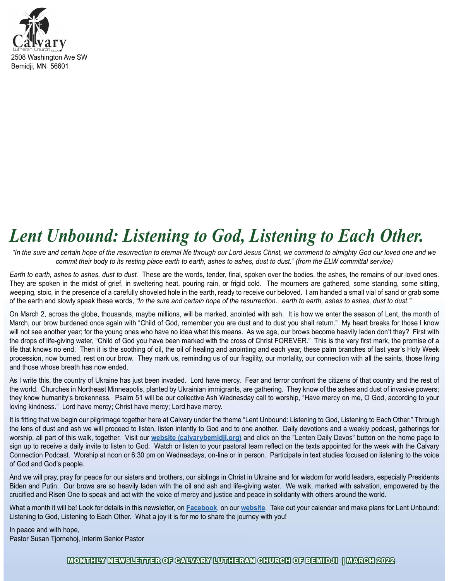

# Lent Unbound: Listening to God, Listening to Each Other.

"In the sure and certain hope of the resurrection to eternal life through our Lord Jesus Christ, we commend to almighty God our loved one and we commit their body to its resting place earth to earth, ashes to ashes, dust to dust." (from the ELW committal service)

Earth to earth, ashes to ashes, dust to dust. These are the words, tender, final, spoken over the bodies, the ashes, the remains of our loved ones. They are spoken in the midst of grief, in sweltering heat, pouring rain, or frigid cold. The mourners are gathered, some standing, some sitting, weeping, stoic, in the presence of a carefully shoveled hole in the earth, ready to receive our beloved. I am handed a small vial of sand or grab some of the earth and slowly speak these words, "In the sure and certain hope of the resurrection...earth to earth, ashes to ashes, dust to dust."

On March 2, across the globe, thousands, maybe millions, will be marked, anointed with ash. It is how we enter the season of Lent, the month of March, our brow burdened once again with "Child of God, remember you are dust and to dust you shall return." My heart breaks for those I know will not see another year; for the young ones who have no idea what this means. As we age, our brows become heavily laden don't they? First with the drops of life-giving water, "Child of God you have been marked with the cross of Christ FOREVER." This is the very first mark, the promise of a life that knows no end. Then it is the soothing of oil, the oil of healing and anointing and each year, these palm branches of last year's Holy Week procession, now burned, rest on our brow. They mark us, reminding us of our fragility, our mortality, our connection with all the saints, those living and those whose breath has now ended.

As I write this, the country of Ukraine has just been invaded. Lord have mercy. Fear and terror confront the citizens of that country and the rest of the world. Churches in Northeast Minneapolis, planted by Ukrainian immigrants, are gathering. They know of the ashes and dust of invasive powers; they know humanity's brokenness. Psalm 51 will be our collective Ash Wednesday call to worship, "Have mercy on me, O God, according to your loving kindness." Lord have mercy; Christ have mercy; Lord have mercy.

It is fitting that we begin our pilgrimage together here at Calvary under the theme "Lent Unbound: Listening to God, Listening to Each Other." Through the lens of dust and ash we will proceed to listen, listen intently to God and to one another. Daily devotions and a weekly podcast, gatherings for worship, all part of this walk, together. Visit our [website \(calvarybemidji.org\)](https://www.calvarybemidji.org/) and click on the "Lenten Daily Devos" button on the home page to sign up to receive a daily invite to listen to God. Watch or listen to your pastoral team reflect on the texts appointed for the week with the Calvary Connection Podcast. Worship at noon or 6:30 pm on Wednesdays, on-line or in person. Participate in text studies focused on listening to the voice of God and God's people.

And we will pray, pray for peace for our sisters and brothers, our siblings in Christ in Ukraine and for wisdom for world leaders, especially Presidents Biden and Putin. Our brows are so heavily laden with the oil and ash and life-giving water. We walk, marked with salvation, empowered by the crucified and Risen One to speak and act with the voice of mercy and justice and peace in solidarity with others around the world.

What a month it will be! Look for details in this newsletter, on [Facebook](https://www.facebook.com/CalvaryBemidji), on our [website](https://www.calvarybemidji.org/). Take out your calendar and make plans for Lent Unbound: Listening to God, Listening to Each Other. What a joy it is for me to share the journey with you!

In peace and with hope, Pastor Susan Tjornehoj, Interim Senior Pastor

#### MONTHLY NEWSLETTER OF CALVARY LUTHERAN CHURCH OF BEMIDJI | MARCH 2022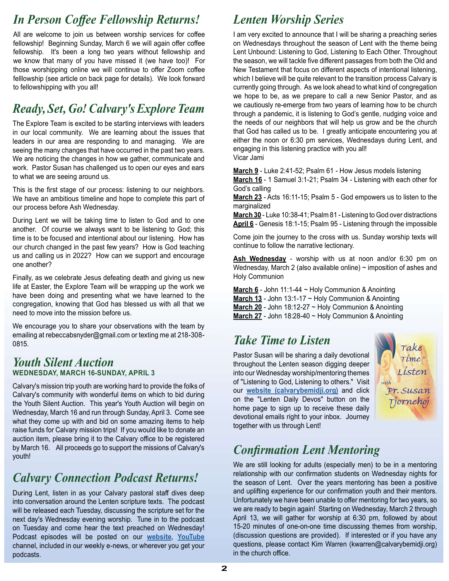## In Person Coffee Fellowship Returns!

All are welcome to join us between worship services for coffee fellowship! Beginning Sunday, March 6 we will again offer coffee fellowship. It's been a long two years without fellowship and we know that many of you have missed it (we have too)! For those worshipping online we will continue to offer Zoom coffee felllowship (see article on back page for details). We look forward to fellowshipping with you all!

## Ready, Set, Go! Calvary's Explore Team

The Explore Team is excited to be starting interviews with leaders in our local community. We are learning about the issues that leaders in our area are responding to and managing. We are seeing the many changes that have occurred in the past two years. We are noticing the changes in how we gather, communicate and work. Pastor Susan has challenged us to open our eyes and ears to what we are seeing around us.

This is the first stage of our process: listening to our neighbors. We have an ambitious timeline and hope to complete this part of our process before Ash Wednesday.

During Lent we will be taking time to listen to God and to one another. Of course we always want to be listening to God; this time is to be focused and intentional about our listening. How has our church changed in the past few years? How is God teaching us and calling us in 2022? How can we support and encourage one another?

Finally, as we celebrate Jesus defeating death and giving us new life at Easter, the Explore Team will be wrapping up the work we have been doing and presenting what we have learned to the congregation, knowing that God has blessed us with all that we need to move into the mission before us.

We encourage you to share your observations with the team by emailing at rebeccabsnyder@gmail.com or texting me at 218-308 emaning at repeccapshyder@gmail.com or lexting me at 216-306-<br>0815.

#### Youth Silent Auction WEDNESDAY, MARCH 16-SUNDAY, APRIL 3

Calvary's mission trip youth are working hard to provide the folks of Calvary's community with wonderful items on which to bid during the Youth Silent Auction. This year's Youth Auction will begin on Wednesday, March 16 and run through Sunday, April 3. Come see what they come up with and bid on some amazing items to help raise funds for Calvary mission trips! If you would like to donate an auction item, please bring it to the Calvary office to be registered by March 16. All proceeds go to support the missions of Calvary's youth!

## Calvary Connection Podcast Returns!

During Lent, listen in as your Calvary pastoral staff dives deep into conversation around the Lenten scripture texts. The podcast will be released each Tuesday, discussing the scripture set for the next day's Wednesday evening worship. Tune in to the podcast on Tuesday and come hear the text preached on Wednesday! Podcast episodes will be posted on our [website](https://www.calvarybemidji.org/), [YouTube](https://www.youtube.com/channel/UCCqUzuH_tvFObAZ3GZgl2aQ) channel, included in our weekly e-news, or wherever you get your podcasts.

## Lenten Worship Series

I am very excited to announce that I will be sharing a preaching series on Wednesdays throughout the season of Lent with the theme being Lent Unbound: Listening to God, Listening to Each Other. Throughout the season, we will tackle five different passages from both the Old and New Testament that focus on different aspects of intentional listening, which I believe will be quite relevant to the transition process Calvary is currently going through. As we look ahead to what kind of congregation we hope to be, as we prepare to call a new Senior Pastor, and as we cautiously re-emerge from two years of learning how to be church through a pandemic, it is listening to God's gentle, nudging voice and the needs of our neighbors that will help us grow and be the church that God has called us to be. I greatly anticipate encountering you at either the noon or 6:30 pm services, Wednesdays during Lent, and engaging in this listening practice with you all! Vicar Jami

March 9 - Luke 2:41-52; Psalm 61 - How Jesus models listening March 16 - 1 Samuel 3:1-21; Psalm 34 - Listening with each other for God's calling

March 23 - Acts 16:11-15; Psalm 5 - God empowers us to listen to the marginalized

**March 30** - Luke 10:38-41; Psalm 81 - Listening to God over distractions April 6 - Genesis 18:1-15; Psalm 95 - Listening through the impossible

Come join the journey to the cross with us. Sunday worship texts will continue to follow the narrative lectionary.

Ash Wednesday - worship with us at noon and/or 6:30 pm on Wednesday, March 2 (also available online)  $\sim$  imposition of ashes and Holy Communion

March  $6$  - John 11:1-44  $\sim$  Holy Communion & Anointing March 13 - John 13:1-17 ~ Holy Communion & Anointing **March 20** - John 18:12-27  $\sim$  Holy Communion & Anointing **March 27** - John 18:28-40  $\sim$  Holy Communion & Anointing

Pastor Susan will be sharing a daily devotional  $\int_{\mathcal{A}} \int_{\mathcal{A}}^{\mathcal{A}} m e^{i\omega t}$ throughout the Lenten season digging deeper<br>into our Wednesday worship/mentoring themes into our Wednesday worship/mentoring themes of "Listening to God, Listening to others." Visit our [website \(calvarybemidji.org\)](https://www.calvarybemidji.org/) and click Pr. Susan on the "Lenten Daily Devos" button on the Tiornchot home page to sign up to receive these daily devotional emails right to your inbox. Journey together with us through Lent!



## **Confirmation Lent Mentoring**

We are still looking for adults (especially men) to be in a mentoring relationship with our confirmation students on Wednesday nights for the season of Lent. Over the years mentoring has been a positive and uplifting experience for our confirmation youth and their mentors. Unfortunately we have been unable to offer mentoring for two years, so we are ready to begin again! Starting on Wednesday, March 2 through April 13, we will gather for worship at 6:30 pm, followed by about 15-20 minutes of one-on-one time discussing themes from worship, (discussion questions are provided). If interested or if you have any questions, please contact Kim Warren (kwarren@calvarybemidji.org) in the church office.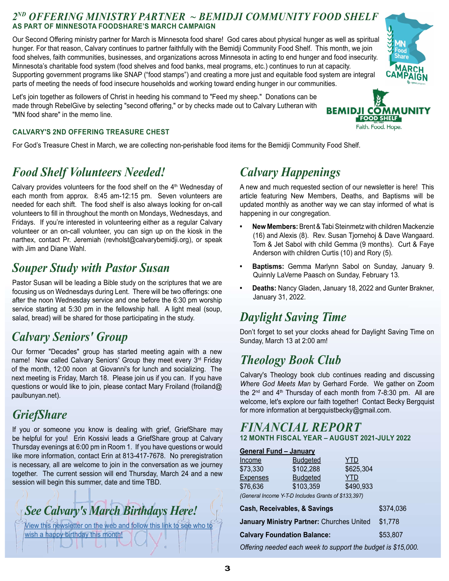#### 2ND OFFERING MINISTRY PARTNER ~ BEMIDJI COMMUNITY FOOD SHELF AS PART OF MINNESOTA FOODSHARE'S MARCH CAMPAIGN

Our Second Offering ministry partner for March is Minnesota food share! God cares about physical hunger as well as spiritual hunger. For that reason, Calvary continues to partner faithfully with the Bemidji Community Food Shelf. This month, we join food shelves, faith communities, businesses, and organizations across Minnesota in acting to end hunger and food insecurity. Minnesota's charitable food system (food shelves and food banks, meal programs, etc.) continues to run at capacity. Supporting government programs like SNAP ("food stamps") and creating a more just and equitable food system are integral parts of meeting the needs of food insecure households and working toward ending hunger in our communities.

Let's join together as followers of Christ in heeding his command to "Feed my sheep." Donations can be made through RebelGive by selecting "second offering," or by checks made out to Calvary Lutheran with **BEMIDJICO** "MN food share" in the memo line.



#### CALVARY'S 2ND OFFERING TREASURE CHEST

For God's Treasure Chest in March, we are collecting non-perishable food items for the Bemidji Community Food Shelf.

#### Food Shelf Volunteers Needed!

Calvary provides volunteers for the food shelf on the  $4<sup>th</sup>$  Wednesday of each month from approx. 8:45 am-12:15 pm. Seven volunteers are needed for each shift. The food shelf is also always looking for on-call volunteers to fill in throughout the month on Mondays, Wednesdays, and Fridays. If you're interested in volunteering either as a regular Calvary volunteer or an on-call volunteer, you can sign up on the kiosk in the narthex, contact Pr. Jeremiah (revholst@calvarybemidji.org), or speak with Jim and Diane Wahl.

#### Souper Study with Pastor Susan

Pastor Susan will be leading a Bible study on the scriptures that we are focusing us on Wednesdays during Lent. There will be two offerings: one after the noon Wednesday service and one before the 6:30 pm worship service starting at 5:30 pm in the fellowship hall. A light meal (soup,  $\bm{Davlight\,Saving\,Time}$ salad, bread) will be shared for those participating in the study.

#### Calvary Seniors' Group

Our former "Decades" group has started meeting again with a new name! Now called Calvary Seniors' Group they meet every 3<sup>rd</sup> Friday of the month, 12:00 noon at Giovanni's for lunch and socializing. The next meeting is Friday, March 18. Please join us if you can. If you have questions or would like to join, please contact Mary Froiland (froiland@ paulbunyan.net).

#### **GriefShare**

If you or someone you know is dealing with grief, GriefShare may be helpful for you! Erin Kossivi leads a GriefShare group at Calvary Thursday evenings at 6:00 pm in Room 1. If you have questions or would like more information, contact Erin at 813-417-7678. No preregistration is necessary, all are welcome to join in the conversation as we journey together. The current session will end Thursday, March 24 and a new session will begin this summer, date and time TBD.



[View this newsletter on the web and follow this link to see who to](https://files.ctctusercontent.com/80823a22101/17e4f80a-17d3-479e-9cdc-a48756878ba3.pdf?rdr=true)  wish a happy birthday this month!

## Calvary Happenings

A new and much requested section of our newsletter is here! This article featuring New Members, Deaths, and Baptisms will be updated monthly as another way we can stay informed of what is happening in our congregation.

- New Members: Brent & Tabi Steinmetz with children Mackenzie (16) and Alexis (8). Rev. Susan Tjornehoj & Dave Wangaard. Tom & Jet Sabol with child Gemma (9 months). Curt & Faye Anderson with children Curtis (10) and Rory (5).
- Baptisms: Gemma Marlynn Sabol on Sunday, January 9. Quinnly LaVerne Paasch on Sunday, February 13.
- Deaths: Nancy Gladen, January 18, 2022 and Gunter Brakner, January 31, 2022.

#### Theology Book Club

#### FINANCIAL REPORT 12 MONTH FISCAL YEAR – AUGUST 2021-JULY 2022

|                                | onion Committee Manymin Cabol On Canaay, Canaany<br>Quinnly LaVerne Paasch on Sunday, February 13.                                                                                                                                                                                                                              |                   |                                                            |  |
|--------------------------------|---------------------------------------------------------------------------------------------------------------------------------------------------------------------------------------------------------------------------------------------------------------------------------------------------------------------------------|-------------------|------------------------------------------------------------|--|
| $\bullet$<br>January 31, 2022. |                                                                                                                                                                                                                                                                                                                                 |                   | Deaths: Nancy Gladen, January 18, 2022 and Gunter Brakner, |  |
|                                | <b>Daylight Saving Time</b>                                                                                                                                                                                                                                                                                                     |                   |                                                            |  |
|                                | Don't forget to set your clocks ahead for Daylight Saving Time on<br>Sunday, March 13 at 2:00 am!                                                                                                                                                                                                                               |                   |                                                            |  |
|                                | <b>Theology Book Club</b>                                                                                                                                                                                                                                                                                                       |                   |                                                            |  |
|                                | Calvary's Theology book club continues reading and discussing<br>Where God Meets Man by Gerhard Forde. We gather on Zoom<br>the $2^{nd}$ and $4^{th}$ Thursday of each month from 7-8:30 pm. All are<br>welcome, let's explore our faith together! Contact Becky Bergquist<br>for more information at bergquistbecky@gmail.com. |                   |                                                            |  |
|                                | <b>FINANCIAL REPORT</b>                                                                                                                                                                                                                                                                                                         |                   |                                                            |  |
|                                | <b>12 MONTH FISCAL YEAR - AUGUST 2021-JULY 2022</b>                                                                                                                                                                                                                                                                             |                   |                                                            |  |
| <b>General Fund - January</b>  |                                                                                                                                                                                                                                                                                                                                 |                   |                                                            |  |
| <u>Income</u>                  | <b>Budgeted</b>                                                                                                                                                                                                                                                                                                                 | <b>YTD</b>        |                                                            |  |
| \$73,330<br><b>Expenses</b>    | \$102,288<br><b>Budgeted</b>                                                                                                                                                                                                                                                                                                    | \$625,304<br>YTD. |                                                            |  |
| \$76,636                       | \$103,359                                                                                                                                                                                                                                                                                                                       | \$490,933         |                                                            |  |
|                                | (General Income Y-T-D Includes Grants of \$133,397)                                                                                                                                                                                                                                                                             |                   |                                                            |  |
|                                | Cash, Receivables, & Savings                                                                                                                                                                                                                                                                                                    |                   | \$374,036                                                  |  |
|                                | January Ministry Partner: Churches United<br>\$1,778                                                                                                                                                                                                                                                                            |                   |                                                            |  |
|                                | \$53,807<br><b>Calvary Foundation Balance:</b>                                                                                                                                                                                                                                                                                  |                   |                                                            |  |
|                                | Offering needed each week to support the budget is \$15,000.                                                                                                                                                                                                                                                                    |                   |                                                            |  |